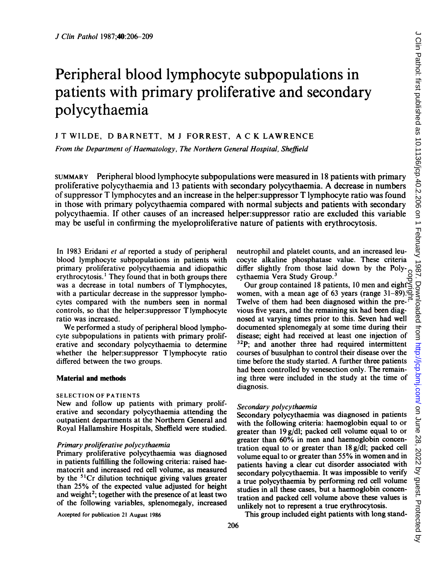# Peripheral blood lymphocyte subpopulations in patients with primary proliferative and secondary polycythaemia

<sup>J</sup> T WILDE, D BARNETT, M <sup>J</sup> FORREST, A C K LAWRENCE

From the Department of Haematology, The Northern General Hospital, Sheffield

SUMMARY Peripheral blood lymphocyte subpopulations were measured in 18 patients with primary proliferative polycythaemia and <sup>13</sup> patients with secondary polycythaemia. A decrease in numbers of suppressor T lymphocytes and an increase in the helper:suppressor T lymphocyte ratio was found in those with primary polycythaemia compared with normal subjects and patients with secondary polycythaemia. If other causes of an increased helper:suppressor ratio are excluded this variable may be useful in confirming the myeloproliferative nature of patients with erythrocytosis.

In 1983 Eridani et al reported a study of peripheral blood lymphocyte subpopulations in patients with primary proliferative polycythaemia and idiopathic erythrocytosis.' They found that in both groups there was a decrease in total numbers of Tlymphocytes, with a particular decrease in the suppressor lymphocytes compared with the numbers seen in normal controls, so that the helper:suppressor Tlymphocyte ratio was increased.

We performed <sup>a</sup> study of peripheral blood lymphocyte subpopulations in patients with primary proliferative and secondary polycythaemia to determine whether the helper:suppressor T lymphocyte ratio differed between the two groups.

#### Material and methods

## SELECTION OF PATIENTS

New and follow up patients with primary proliferative and secondary polycythaemia attending the outpatient departments at the Northern General and Royal Hallamshire Hospitals, Sheffield were studied.

## Primary proliferative polycythaemia

Primary proliferative polycythaemia was diagnosed in patients fulfilling the following criteria: raised haematocrit and increased red cell volume, as measured by the  $51Cr$  dilution technique giving values greater than 25% of the expected value adjusted for height and weight<sup>2</sup>; together with the presence of at least two of the following variables, splenomegaly, increased

Accepted for publication 21 August 1986

neutrophil and platelet counts, and an increased leucocyte alkaline phosphatase value. These criteria differ slightly from those laid down by the Poly-<br>cythaemia Vera Study Group.<sup>3</sup> cythaemia Vera Study Group.<sup>3</sup>

Our group contained <sup>18</sup> patients, 10 men and eight women, with a mean age of 63 years (range  $31-\overline{89}$ ). $\overline{Q}$ Twelve of them had been diagnosed within the previous five years, and the remaining six had been diagnosed at varying times prior to this. Seven had well documented splenomegaly at some time during their disease; eight had received at least one injection of <sup>32</sup>P; and another three had required intermittent courses of busulphan to control their disease over the time before the study started. A further three patients had been controlled by venesection only. The remaining three were included in the study at the time of diagnosis. copyright.

## Secondary polycythaemia

Secondary polycythaemia was diagnosed in patients with the following criteria: haemoglobin equal to or greater than 19 g/dl; packed cell volume equal to or greater than 60% in men and haemoglobin concentration equal to or greater than 18 g/dl; packed cell volume equal to or greater than 55% in women and in patients having a clear cut disorder associated with secondary polycythaemia. It was impossible to verify a true polycythaemia by performing red cell volume studies in all these cases, but a haemoglobin concentration and packed cell volume above these values is unlikely not to represent a true erythrocytosis.

This group included eight patients with long stand-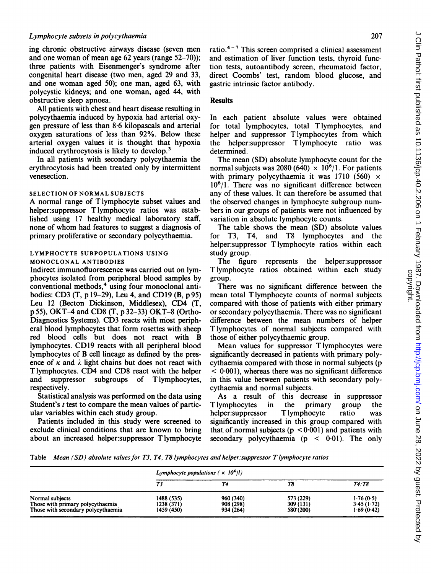# Lymphocyte subsets in polycythaemia

ing chronic obstructive airways disease (seven men and one woman of mean age 62 years (range 52-70)); three patients with Eisenmenger's syndrome after congenital heart disease (two men, aged <sup>29</sup> and 33, and one woman aged 50); one man, aged 63, with polycystic kidneys; and one woman, aged 44, with obstructive sleep apnoea.

All patients with chest and heart disease resulting in polycythaemia induced by hypoxia had arterial oxygen pressure of less than 8-6 kilopascals and arterial oxygen saturations of less than 92%. Below these arterial oxygen values it is thought that hypoxia induced erythrocytosis is likely to develop.3

In all patients with secondary polycythaemia the erythrocytosis had been treated only by intermittent venesection.

#### SELECTION OF NORMAL SUBJECTS

A normal range of T lymphocyte subset values and helper:suppressor T lymphocyte ratios was established using 17 healthy medical laboratory staff, none of whom had features to suggest a diagnosis of primary proliferative or secondary polycythaemia.

#### LYMPHOCYTE SUBPOPULATIONS USING MONOCLONAL ANTIBODIES

Indirect immunofluorescence was carried out on lymphocytes isolated from peripheral blood samples by conventional methods,<sup>4</sup> using four monoclonal antibodies: CD3 (T, p 19-29), Leu 4, and CDl9 (B, p95) Leu <sup>12</sup> (Becton Dickinson, Middlesex), CD4 (T, p 55), OKT-4 and CD8 (T, p 32-33) OKT-8 (Ortho-Diagnostics Systems). CD3 reacts with most peripheral blood lymphocytes that form rosettes with sheep red blood cells but does not react with B lymphocytes. CD19 reacts with all peripheral blood lymphocytes of B cell lineage as defined by the presence of  $\kappa$  and  $\lambda$  light chains but does not react with T lymphocytes. CD4 and CD8 react with the helper and suppressor subgroups of T lymphocytes, respectively.

Statistical analysis was performed on the data using Student's  $t$  test to compare the mean values of particular variables within each study group.

Patients included in this study were screened to exclude clinical conditions that are known to bring about an increased helper:suppressor Tlymphocyte ratio. $4-7$  This screen comprised a clinical assessment and estimation of liver function tests, thyroid function tests, autoantibody screen, rheumatoid factor, direct Coombs' test, random blood glucose, and gastric intrinsic factor antibody.

# **Results**

In each patient absolute values were obtained for total lymphocytes, total T lymphocytes, and helper and suppressor T lymphocytes from which the helper:suppressor T lymphocyte ratio was determined.

The mean (SD) absolute lymphocyte count for the normal subjects was 2080 (640)  $\times$  10<sup>6</sup>/1. For patients with primary polycythaemia it was 1710 (560)  $\times$  $10<sup>6</sup>/1$ . There was no significant difference between any of these values. It can therefore be assumed that the observed changes in lymphocyte subgroup numbers in our groups of patients were not influenced by variation in absolute lymphocyte counts.

The table shows the mean (SD) absolute values for T3, T4, and T8 lymphocytes and the helper:suppressor Tlymphocyte ratios within each study group.

The figure represents the helper:suppressor T lymphocyte ratios obtained within each study group.

There was no significant difference between the mean total T lymphocyte counts of normal subjects compared with those of patients with either primary or secondary polycythaemia. There was no significant difference between the mean numbers of helper T lymphocytes of normal subjects compared with those of either polycythaemic group.

Mean values for suppressor T lymphocytes were significantly decreased in patients with primary polycythaemia compared with those in normal subjects (p  $< 0.001$ ), whereas there was no significant difference in this value between patients with secondary polycythaemia and normal subjects.

As a result of this decrease in suppressor T lymphocytes in the primary group the helper: suppress T lymphocyte ratio was helper:suppressor T lymphocyte ratio was significantly increased in this group compared with that of normal subjects ( $p < 0.001$ ) and patients with secondary polycythaemia ( $p < 0.01$ ). The only

Table Mean (SD) absolute values for T3, T4, T8 lymphocytes and helper: suppressor T lymphocyte ratios

|                                                                                           | Lymphocyte populations ( $\times 10^6$ /l) |                                     |                                     |                                       |
|-------------------------------------------------------------------------------------------|--------------------------------------------|-------------------------------------|-------------------------------------|---------------------------------------|
|                                                                                           | Т3                                         |                                     | 78                                  | T4:T8                                 |
| Normal subjects<br>Those with primary polycythaemia<br>Those with secondary polycythaemia | 1488 (535)<br>1238 (371)<br>1459 (450)     | 960 (340)<br>908 (298)<br>934 (264) | 573 (229)<br>309 (131)<br>580 (200) | 1.76(0.5)<br>3.45(1.72)<br>1.69(0.42) |

207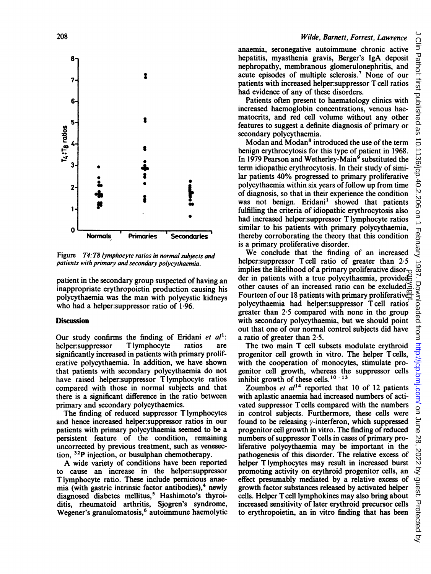

Figure T4: T8 lymphocyte ratios in normal subjects and patients with primary and secondary polycythaemia.

patient in the secondary group suspected of having an inappropriate erythropoietin production causing his polycythaemia was the man with polycystic kidneys who had a helper:suppressor ratio of 1-96.

# **Discussion**

Our study confirms the finding of Eridani et  $al^1$ :<br>helper:suppressor Tlymphocyte ratios are helper:suppressor significantly increased in patients with primary proliferative polycythaemia. In addition, we have shown that patients with secondary polycythaemia do not have raised helper:suppressor T lymphocyte ratios compared with those in normal subjects and that there is a significant difference in the ratio between primary and secondary polycythaemics.

The finding of reduced suppressor T lymphocytes and hence increased helper:suppressor ratios in our patients with primary polycythaemia seemed to be a persistent feature of the condition, remaining uncorrected by previous treatment, such as venesection, 32P injection, or busulphan chemotherapy.

A wide variety of conditions have been reported to cause an increase in the helper:suppressor T lymphocyte ratio. These include pernicious anaemia (with gastric intrinsic factor antibodies), $4$  newly diagnosed diabetes mellitus,<sup>5</sup> Hashimoto's thyroiditis, rheumatoid arthritis, Sjogren's syndrome, Wegener's granulomatosis,<sup>6</sup> autoimmune haemolytic

# Wilde, Barnett, Forrest, Lawrence

anaemia, seronegative autoimmune chronic active hepatitis, myasthenia gravis, Berger's IgA deposit nephropathy, membranous glomerulonephritis, and acute episodes of multiple sclerosis.7 None of our patients with increased helper:suppressor T cell ratios had evidence of any of these disorders.

Patients often present to haematology clinics with increased haemoglobin concentrations, venous haematocrits, and red cell volume without any other features to suggest a definite diagnosis of primary or secondary polycythaemia.

Modan and Modan8 introduced the use of the term benign erythrocytosis for this type of patient in 1968. In 1979 Pearson and Wetherley-Main<sup>9</sup> substituted the term idiopathic erythrocytosis. In their study of similar patients 40% progressed to primary proliferative polycythaemia within six years of follow up from time of diagnosis, so that in their experience the condition was not benign. Eridani' showed that patients fulfilling the criteria of idiopathic erythrocytosis also had increased helper:suppressor Tlymphocyte ratios similar to his patients with primary polycythaemia, thereby corroborating the theory that this condition is a primary proliferative disorder.

We conclude that the finding of an increased helper: suppressor Tcell ratio of greater than 2.5 implies the likelihood of a primary proliferative disorder in patients with a true polycythaemia, provided other causes of an increased ratio can be excluded. mphes the increments of a primary profiterative disor-<br>der in patients with a true polycythaemia, provided<br>of the causes of an increased ratio can be excluded. polycythaemia had helper:suppressor T cell ratios greater than  $2.5$  compared with none in the group with secondary polycythaemia, but we should point out that one of our normal control subjects did have a ratio of greater than 2-5.

The two main T cell subsets modulate erythroid progenitor cell growth in vitro. The helper Tcells, with the cooperation of monocytes, stimulate progenitor cell growth, whereas the suppressor cells inhibit growth of these cells. $10 - 13$ 

Zoumbos et  $al^{14}$  reported that 10 of 12 patients with aplastic anaemia had increased numbers of activated suppressor T cells compared with the numbers in control subjects. Furthermore, these cells were found to be releasing  $\gamma$ -interferon, which suppressed progenitor cell growth in vitro. The finding of reduced numbers of suppressor T cells in cases of primary proliferative polycythaemia may be important in the pathogenesis of this disorder. The relative excess of helper T lymphocytes may result in increased burst promoting activity on erythroid progenitor cells, an effect presumably mediated by a relative excess of growth factor substances released by activated helper cells. Helper Tcell lymphokines may also bring about increased sensitivity of later erythroid precursor cells to erythropoietin, an in vitro finding that has been